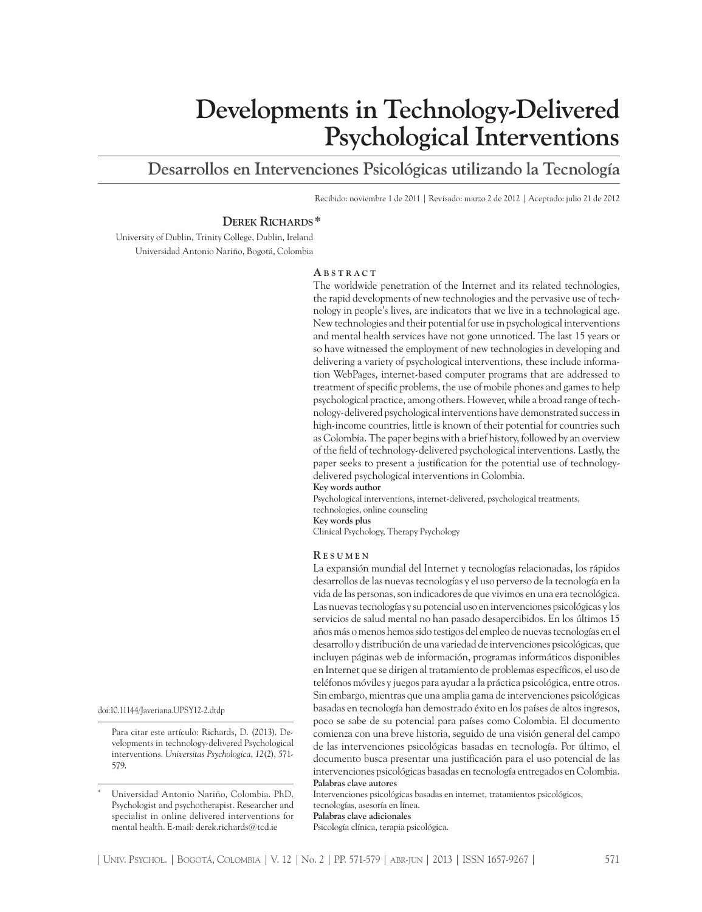# **Developments in Technology-Delivered Psychological Interventions**

**Desarrollos en Intervenciones Psicológicas utilizando la Tecnología**

Recibido: noviembre 1 de 2011 | Revisado: marzo 2 de 2012 | Aceptado: julio 21 de 2012

#### **Derek Richards\***

University of Dublin, Trinity College, Dublin, Ireland Universidad Antonio Nariño, Bogotá, Colombia

#### **A b s t r a c t**

The worldwide penetration of the Internet and its related technologies, the rapid developments of new technologies and the pervasive use of technology in people's lives, are indicators that we live in a technological age. New technologies and their potential for use in psychological interventions and mental health services have not gone unnoticed. The last 15 years or so have witnessed the employment of new technologies in developing and delivering a variety of psychological interventions, these include information WebPages, internet-based computer programs that are addressed to treatment of specific problems, the use of mobile phones and games to help psychological practice, among others. However, while a broad range of technology-delivered psychological interventions have demonstrated success in high-income countries, little is known of their potential for countries such as Colombia. The paper begins with a brief history, followed by an overview of the field of technology-delivered psychological interventions. Lastly, the paper seeks to present a justification for the potential use of technologydelivered psychological interventions in Colombia. **Key words author**

Psychological interventions, internet-delivered, psychological treatments, technologies, online counseling **Key words plus** Clinical Psychology, Therapy Psychology

#### **R e s u m e n**

La expansión mundial del Internet y tecnologías relacionadas, los rápidos desarrollos de las nuevas tecnologías y el uso perverso de la tecnología en la vida de las personas, son indicadores de que vivimos en una era tecnológica. Las nuevas tecnologías y su potencial uso en intervenciones psicológicas y los servicios de salud mental no han pasado desapercibidos. En los últimos 15 años más o menos hemos sido testigos del empleo de nuevas tecnologías en el desarrollo y distribución de una variedad de intervenciones psicológicas, que incluyen páginas web de información, programas informáticos disponibles en Internet que se dirigen al tratamiento de problemas específicos, el uso de teléfonos móviles y juegos para ayudar a la práctica psicológica, entre otros. Sin embargo, mientras que una amplia gama de intervenciones psicológicas basadas en tecnología han demostrado éxito en los países de altos ingresos, poco se sabe de su potencial para países como Colombia. El documento comienza con una breve historia, seguido de una visión general del campo de las intervenciones psicológicas basadas en tecnología. Por último, el documento busca presentar una justificación para el uso potencial de las intervenciones psicológicas basadas en tecnología entregados en Colombia. **Palabras clave autores**

Intervenciones psicológicas basadas en internet, tratamientos psicológicos, tecnologías, asesoría en línea. **Palabras clave adicionales** Psicología clínica, terapia psicológica.

doi:10.11144/Javeriana.UPSY12-2.dtdp

Para citar este artículo: Richards, D. (2013). Developments in technology-delivered Psychological interventions. *Universitas Psychologica*, *12*(2), 571- 579.

<sup>\*</sup> Universidad Antonio Nariño, Colombia. PhD. Psychologist and psychotherapist. Researcher and specialist in online delivered interventions for mental health. E-mail: derek.richards@tcd.ie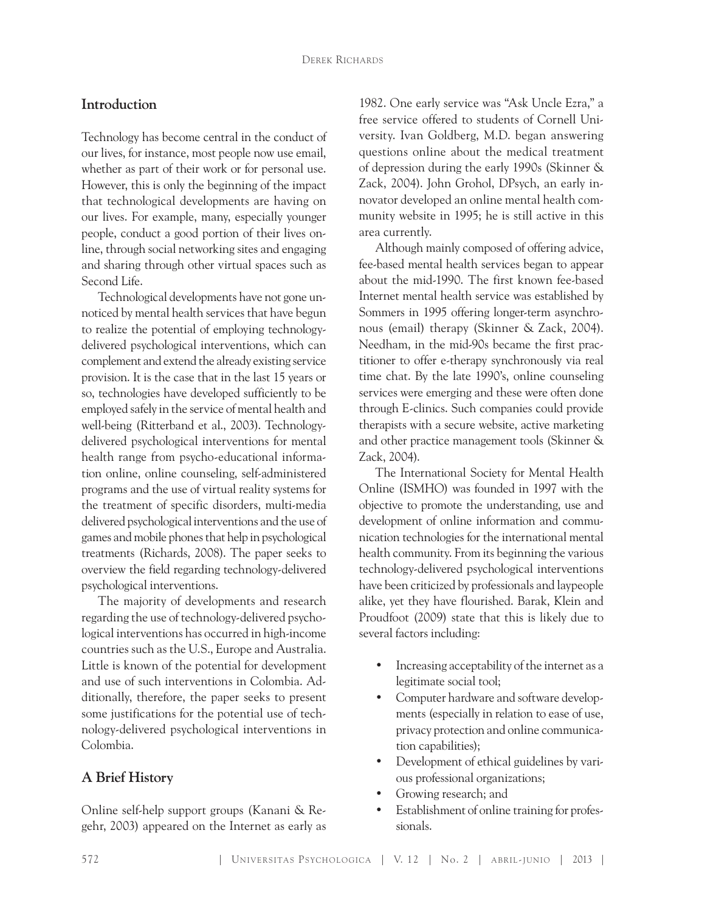# **Introduction**

Technology has become central in the conduct of our lives, for instance, most people now use email, whether as part of their work or for personal use. However, this is only the beginning of the impact that technological developments are having on our lives. For example, many, especially younger people, conduct a good portion of their lives online, through social networking sites and engaging and sharing through other virtual spaces such as Second Life.

Technological developments have not gone unnoticed by mental health services that have begun to realize the potential of employing technologydelivered psychological interventions, which can complement and extend the already existing service provision. It is the case that in the last 15 years or so, technologies have developed sufficiently to be employed safely in the service of mental health and well-being (Ritterband et al., 2003). Technologydelivered psychological interventions for mental health range from psycho-educational information online, online counseling, self-administered programs and the use of virtual reality systems for the treatment of specific disorders, multi-media delivered psychological interventions and the use of games and mobile phones that help in psychological treatments (Richards, 2008). The paper seeks to overview the field regarding technology-delivered psychological interventions.

The majority of developments and research regarding the use of technology-delivered psychological interventions has occurred in high-income countries such as the U.S., Europe and Australia. Little is known of the potential for development and use of such interventions in Colombia. Additionally, therefore, the paper seeks to present some justifications for the potential use of technology-delivered psychological interventions in Colombia.

# **A Brief History**

Online self-help support groups (Kanani & Regehr, 2003) appeared on the Internet as early as

1982. One early service was "Ask Uncle Ezra," a free service offered to students of Cornell University. Ivan Goldberg, M.D. began answering questions online about the medical treatment of depression during the early 1990s (Skinner & Zack, 2004). John Grohol, DPsych, an early innovator developed an online mental health community website in 1995; he is still active in this area currently.

Although mainly composed of offering advice, fee-based mental health services began to appear about the mid-1990. The first known fee-based Internet mental health service was established by Sommers in 1995 offering longer-term asynchronous (email) therapy (Skinner & Zack, 2004). Needham, in the mid-90s became the first practitioner to offer e-therapy synchronously via real time chat. By the late 1990's, online counseling services were emerging and these were often done through E-clinics. Such companies could provide therapists with a secure website, active marketing and other practice management tools (Skinner & Zack, 2004).

The International Society for Mental Health Online (ISMHO) was founded in 1997 with the objective to promote the understanding, use and development of online information and communication technologies for the international mental health community. From its beginning the various technology-delivered psychological interventions have been criticized by professionals and laypeople alike, yet they have flourished. Barak, Klein and Proudfoot (2009) state that this is likely due to several factors including:

- Increasing acceptability of the internet as a legitimate social tool;
- Computer hardware and software developments (especially in relation to ease of use, privacy protection and online communication capabilities);
- Development of ethical guidelines by various professional organizations;
- Growing research; and
- Establishment of online training for professionals.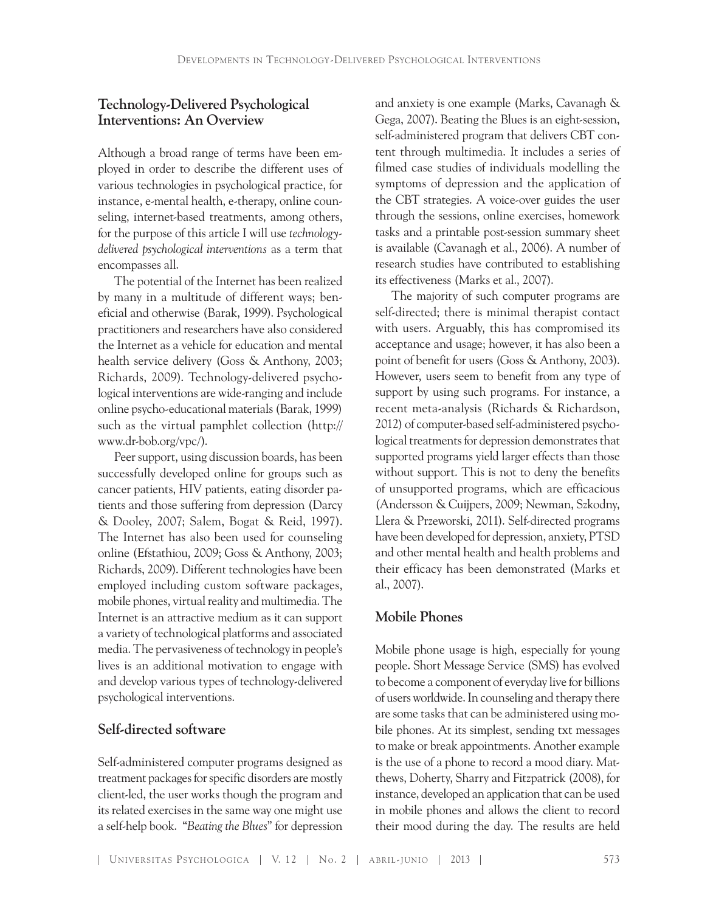### **Technology-Delivered Psychological Interventions: An Overview**

Although a broad range of terms have been employed in order to describe the different uses of various technologies in psychological practice, for instance, e-mental health, e-therapy, online counseling, internet-based treatments, among others, for the purpose of this article I will use *technologydelivered psychological interventions* as a term that encompasses all.

The potential of the Internet has been realized by many in a multitude of different ways; beneficial and otherwise (Barak, 1999). Psychological practitioners and researchers have also considered the Internet as a vehicle for education and mental health service delivery (Goss & Anthony, 2003; Richards, 2009). Technology-delivered psychological interventions are wide-ranging and include online psycho-educational materials (Barak, 1999) such as the virtual pamphlet collection (http:// www.dr-bob.org/vpc/).

Peer support, using discussion boards, has been successfully developed online for groups such as cancer patients, HIV patients, eating disorder patients and those suffering from depression (Darcy & Dooley, 2007; Salem, Bogat & Reid, 1997). The Internet has also been used for counseling online (Efstathiou, 2009; Goss & Anthony, 2003; Richards, 2009). Different technologies have been employed including custom software packages, mobile phones, virtual reality and multimedia. The Internet is an attractive medium as it can support a variety of technological platforms and associated media. The pervasiveness of technology in people's lives is an additional motivation to engage with and develop various types of technology-delivered psychological interventions.

#### **Self-directed software**

Self-administered computer programs designed as treatment packages for specific disorders are mostly client-led, the user works though the program and its related exercises in the same way one might use a self-help book. "*Beating the Blues*" for depression and anxiety is one example (Marks, Cavanagh & Gega, 2007). Beating the Blues is an eight-session, self-administered program that delivers CBT content through multimedia. It includes a series of filmed case studies of individuals modelling the symptoms of depression and the application of the CBT strategies. A voice-over guides the user through the sessions, online exercises, homework tasks and a printable post-session summary sheet is available (Cavanagh et al., 2006). A number of research studies have contributed to establishing its effectiveness (Marks et al., 2007).

The majority of such computer programs are self-directed; there is minimal therapist contact with users. Arguably, this has compromised its acceptance and usage; however, it has also been a point of benefit for users (Goss & Anthony, 2003). However, users seem to benefit from any type of support by using such programs. For instance, a recent meta-analysis (Richards & Richardson, 2012) of computer-based self-administered psychological treatments for depression demonstrates that supported programs yield larger effects than those without support. This is not to deny the benefits of unsupported programs, which are efficacious (Andersson & Cuijpers, 2009; Newman, Szkodny, Llera & Przeworski, 2011). Self-directed programs have been developed for depression, anxiety, PTSD and other mental health and health problems and their efficacy has been demonstrated (Marks et al., 2007).

# **Mobile Phones**

Mobile phone usage is high, especially for young people. Short Message Service (SMS) has evolved to become a component of everyday live for billions of users worldwide. In counseling and therapy there are some tasks that can be administered using mobile phones. At its simplest, sending txt messages to make or break appointments. Another example is the use of a phone to record a mood diary. Matthews, Doherty, Sharry and Fitzpatrick (2008), for instance, developed an application that can be used in mobile phones and allows the client to record their mood during the day. The results are held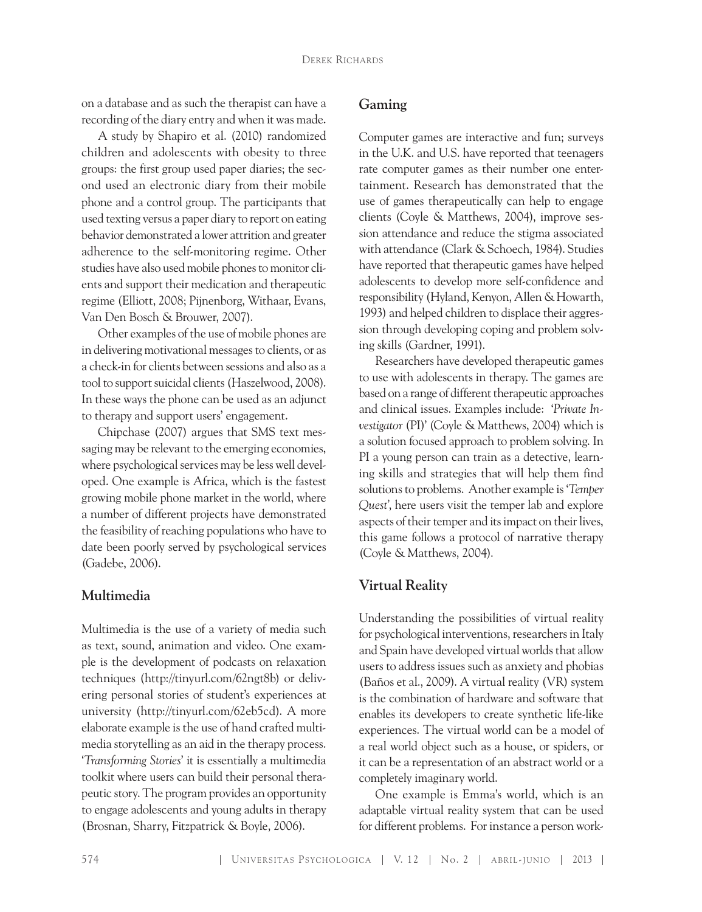on a database and as such the therapist can have a recording of the diary entry and when it was made.

A study by Shapiro et al. (2010) randomized children and adolescents with obesity to three groups: the first group used paper diaries; the second used an electronic diary from their mobile phone and a control group. The participants that used texting versus a paper diary to report on eating behavior demonstrated a lower attrition and greater adherence to the self-monitoring regime. Other studies have also used mobile phones to monitor clients and support their medication and therapeutic regime (Elliott, 2008; Pijnenborg, Withaar, Evans, Van Den Bosch & Brouwer, 2007).

Other examples of the use of mobile phones are in delivering motivational messages to clients, or as a check-in for clients between sessions and also as a tool to support suicidal clients (Haszelwood, 2008). In these ways the phone can be used as an adjunct to therapy and support users' engagement.

Chipchase (2007) argues that SMS text messaging may be relevant to the emerging economies, where psychological services may be less well developed. One example is Africa, which is the fastest growing mobile phone market in the world, where a number of different projects have demonstrated the feasibility of reaching populations who have to date been poorly served by psychological services (Gadebe, 2006).

#### **Multimedia**

Multimedia is the use of a variety of media such as text, sound, animation and video. One example is the development of podcasts on relaxation techniques (http://tinyurl.com/62ngt8b) or delivering personal stories of student's experiences at university (http://tinyurl.com/62eb5cd). A more elaborate example is the use of hand crafted multimedia storytelling as an aid in the therapy process. '*Transforming Stories*' it is essentially a multimedia toolkit where users can build their personal therapeutic story. The program provides an opportunity to engage adolescents and young adults in therapy (Brosnan, Sharry, Fitzpatrick & Boyle, 2006).

#### **Gaming**

Computer games are interactive and fun; surveys in the U.K. and U.S. have reported that teenagers rate computer games as their number one entertainment. Research has demonstrated that the use of games therapeutically can help to engage clients (Coyle & Matthews, 2004), improve session attendance and reduce the stigma associated with attendance (Clark & Schoech, 1984). Studies have reported that therapeutic games have helped adolescents to develop more self-confidence and responsibility (Hyland, Kenyon, Allen & Howarth, 1993) and helped children to displace their aggression through developing coping and problem solving skills (Gardner, 1991).

Researchers have developed therapeutic games to use with adolescents in therapy. The games are based on a range of different therapeutic approaches and clinical issues. Examples include: '*Private Investigator* (PI)' (Coyle & Matthews, 2004) which is a solution focused approach to problem solving. In PI a young person can train as a detective, learning skills and strategies that will help them find solutions to problems. Another example is '*Temper Quest'*, here users visit the temper lab and explore aspects of their temper and its impact on their lives, this game follows a protocol of narrative therapy (Coyle & Matthews, 2004).

#### **Virtual Reality**

Understanding the possibilities of virtual reality for psychological interventions, researchers in Italy and Spain have developed virtual worlds that allow users to address issues such as anxiety and phobias (Baños et al., 2009). A virtual reality (VR) system is the combination of hardware and software that enables its developers to create synthetic life-like experiences. The virtual world can be a model of a real world object such as a house, or spiders, or it can be a representation of an abstract world or a completely imaginary world.

One example is Emma's world, which is an adaptable virtual reality system that can be used for different problems. For instance a person work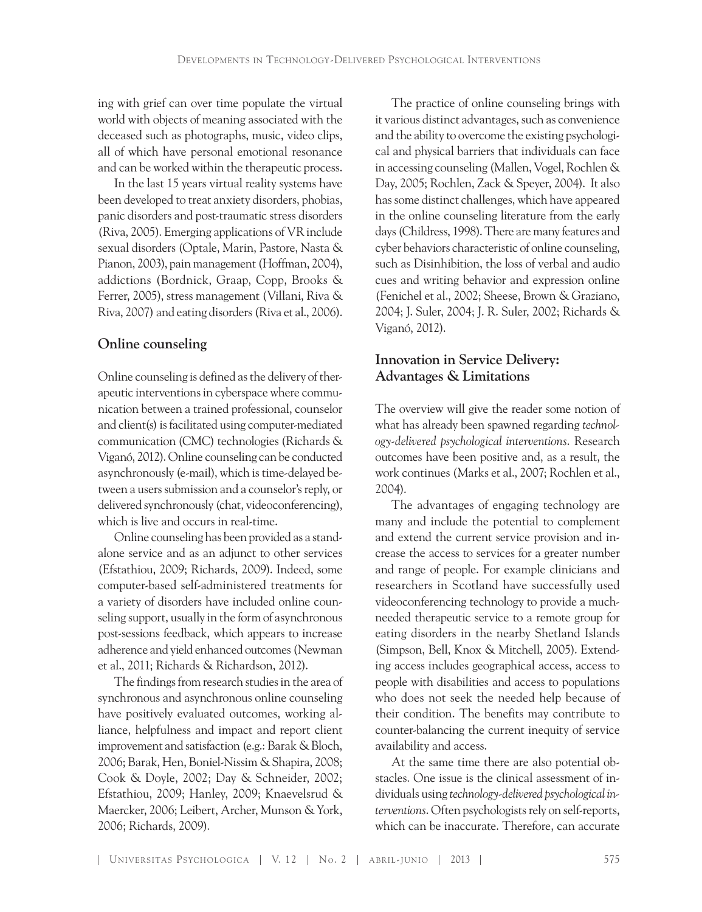ing with grief can over time populate the virtual world with objects of meaning associated with the deceased such as photographs, music, video clips, all of which have personal emotional resonance and can be worked within the therapeutic process.

In the last 15 years virtual reality systems have been developed to treat anxiety disorders, phobias, panic disorders and post-traumatic stress disorders (Riva, 2005). Emerging applications of VR include sexual disorders (Optale, Marin, Pastore, Nasta & Pianon, 2003), pain management (Hoffman, 2004), addictions (Bordnick, Graap, Copp, Brooks & Ferrer, 2005), stress management (Villani, Riva & Riva, 2007) and eating disorders (Riva et al., 2006).

#### **Online counseling**

Online counseling is defined as the delivery of therapeutic interventions in cyberspace where communication between a trained professional, counselor and client(s) is facilitated using computer-mediated communication (CMC) technologies (Richards & Viganó, 2012). Online counseling can be conducted asynchronously (e-mail), which is time-delayed between a users submission and a counselor's reply, or delivered synchronously (chat, videoconferencing), which is live and occurs in real-time.

Online counseling has been provided as a standalone service and as an adjunct to other services (Efstathiou, 2009; Richards, 2009). Indeed, some computer-based self-administered treatments for a variety of disorders have included online counseling support, usually in the form of asynchronous post-sessions feedback, which appears to increase adherence and yield enhanced outcomes (Newman et al., 2011; Richards & Richardson, 2012).

The findings from research studies in the area of synchronous and asynchronous online counseling have positively evaluated outcomes, working alliance, helpfulness and impact and report client improvement and satisfaction (e.g.: Barak & Bloch, 2006; Barak, Hen, Boniel-Nissim & Shapira, 2008; Cook & Doyle, 2002; Day & Schneider, 2002; Efstathiou, 2009; Hanley, 2009; Knaevelsrud & Maercker, 2006; Leibert, Archer, Munson & York, 2006; Richards, 2009).

The practice of online counseling brings with it various distinct advantages, such as convenience and the ability to overcome the existing psychological and physical barriers that individuals can face in accessing counseling (Mallen, Vogel, Rochlen & Day, 2005; Rochlen, Zack & Speyer, 2004). It also has some distinct challenges, which have appeared in the online counseling literature from the early days (Childress, 1998). There are many features and cyber behaviors characteristic of online counseling, such as Disinhibition, the loss of verbal and audio cues and writing behavior and expression online (Fenichel et al., 2002; Sheese, Brown & Graziano, 2004; J. Suler, 2004; J. R. Suler, 2002; Richards & Viganó, 2012).

#### **Innovation in Service Delivery: Advantages & Limitations**

The overview will give the reader some notion of what has already been spawned regarding *technology-delivered psychological interventions*. Research outcomes have been positive and, as a result, the work continues (Marks et al., 2007; Rochlen et al., 2004).

The advantages of engaging technology are many and include the potential to complement and extend the current service provision and increase the access to services for a greater number and range of people. For example clinicians and researchers in Scotland have successfully used videoconferencing technology to provide a muchneeded therapeutic service to a remote group for eating disorders in the nearby Shetland Islands (Simpson, Bell, Knox & Mitchell, 2005). Extending access includes geographical access, access to people with disabilities and access to populations who does not seek the needed help because of their condition. The benefits may contribute to counter-balancing the current inequity of service availability and access.

At the same time there are also potential obstacles. One issue is the clinical assessment of individuals using *technology-delivered psychological interventions*. Often psychologists rely on self-reports, which can be inaccurate. Therefore, can accurate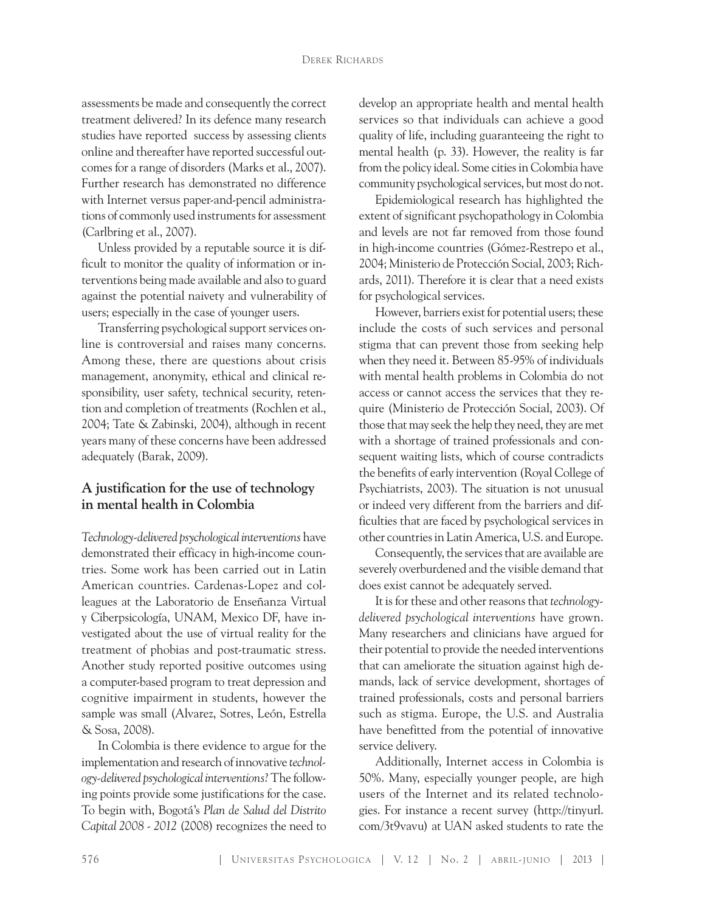#### Derek Richards

assessments be made and consequently the correct treatment delivered? In its defence many research studies have reported success by assessing clients online and thereafter have reported successful outcomes for a range of disorders (Marks et al., 2007). Further research has demonstrated no difference with Internet versus paper-and-pencil administrations of commonly used instruments for assessment (Carlbring et al., 2007).

Unless provided by a reputable source it is difficult to monitor the quality of information or interventions being made available and also to guard against the potential naivety and vulnerability of users; especially in the case of younger users.

Transferring psychological support services online is controversial and raises many concerns. Among these, there are questions about crisis management, anonymity, ethical and clinical responsibility, user safety, technical security, retention and completion of treatments (Rochlen et al., 2004; Tate & Zabinski, 2004), although in recent years many of these concerns have been addressed adequately (Barak, 2009).

#### **A justification for the use of technology in mental health in Colombia**

*Technology-delivered psychological interventions* have demonstrated their efficacy in high-income countries. Some work has been carried out in Latin American countries. Cardenas-Lopez and colleagues at the Laboratorio de Enseñanza Virtual y Ciberpsicología, UNAM, Mexico DF, have investigated about the use of virtual reality for the treatment of phobias and post-traumatic stress. Another study reported positive outcomes using a computer-based program to treat depression and cognitive impairment in students, however the sample was small (Alvarez, Sotres, León, Estrella & Sosa, 2008).

In Colombia is there evidence to argue for the implementation and research of innovative *technology-delivered psychological interventions*? The following points provide some justifications for the case. To begin with, Bogotá's *Plan de Salud del Distrito Capital 2008 - 2012* (2008) recognizes the need to develop an appropriate health and mental health services so that individuals can achieve a good quality of life, including guaranteeing the right to mental health (p. 33). However, the reality is far from the policy ideal. Some cities in Colombia have community psychological services, but most do not.

Epidemiological research has highlighted the extent of significant psychopathology in Colombia and levels are not far removed from those found in high-income countries (Gómez-Restrepo et al., 2004; Ministerio de Protección Social, 2003; Richards, 2011). Therefore it is clear that a need exists for psychological services.

However, barriers exist for potential users; these include the costs of such services and personal stigma that can prevent those from seeking help when they need it. Between 85-95% of individuals with mental health problems in Colombia do not access or cannot access the services that they require (Ministerio de Protección Social, 2003). Of those that may seek the help they need, they are met with a shortage of trained professionals and consequent waiting lists, which of course contradicts the benefits of early intervention (Royal College of Psychiatrists, 2003). The situation is not unusual or indeed very different from the barriers and difficulties that are faced by psychological services in other countries in Latin America, U.S. and Europe.

Consequently, the services that are available are severely overburdened and the visible demand that does exist cannot be adequately served.

It is for these and other reasons that *technologydelivered psychological interventions* have grown. Many researchers and clinicians have argued for their potential to provide the needed interventions that can ameliorate the situation against high demands, lack of service development, shortages of trained professionals, costs and personal barriers such as stigma. Europe, the U.S. and Australia have benefitted from the potential of innovative service delivery.

Additionally, Internet access in Colombia is 50%. Many, especially younger people, are high users of the Internet and its related technologies. For instance a recent survey (http://tinyurl. com/3t9vavu) at UAN asked students to rate the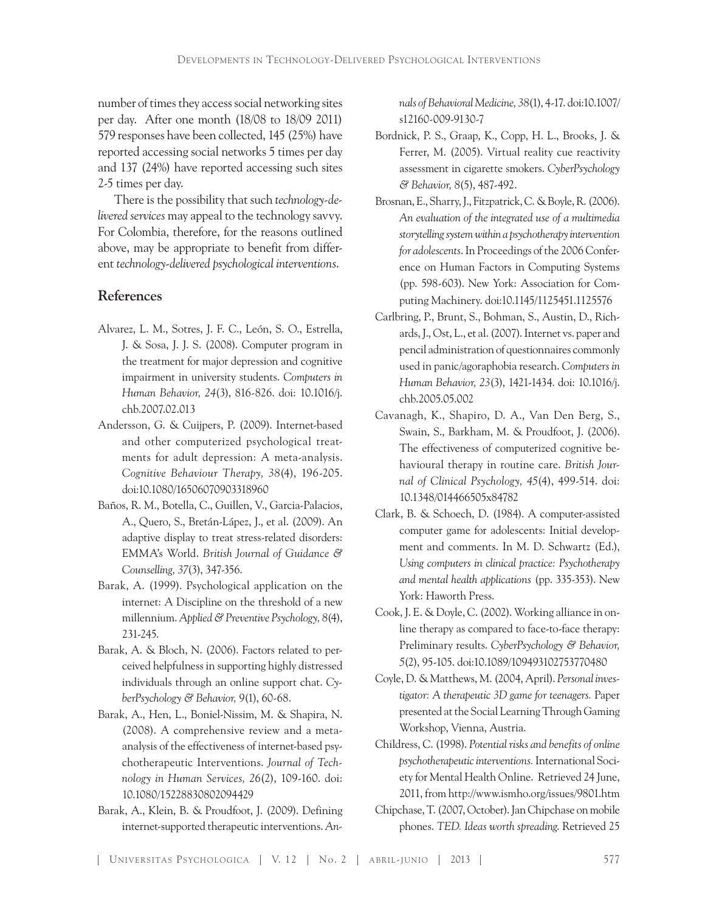number of times they access social networking sites per day. After one month (18/08 to 18/09 2011) 579 responses have been collected, 145 (25%) have reported accessing social networks 5 times per day and 137 (24%) have reported accessing such sites 2-5 times per day.

There is the possibility that such *technology-delivered services* may appeal to the technology savvy. For Colombia, therefore, for the reasons outlined above, may be appropriate to benefit from different *technology-delivered psychological interventions*.

### **References**

- Alvarez, L. M., Sotres, J. F. C., León, S. O., Estrella, J. & Sosa, J. J. S. (2008). Computer program in the treatment for major depression and cognitive impairment in university students. *Computers in Human Behavior, 24*(3), 816-826. doi: 10.1016/j. chb.2007.02.013
- Andersson, G. & Cuijpers, P. (2009). Internet-based and other computerized psychological treatments for adult depression: A meta-analysis. *Cognitive Behaviour Therapy, 38*(4), 196-205. doi:10.1080/16506070903318960
- Baños, R. M., Botella, C., Guillen, V., Garcia-Palacios, A., Quero, S., Bretán-Lápez, J., et al. (2009). An adaptive display to treat stress-related disorders: EMMA's World. *British Journal of Guidance & Counselling, 37*(3), 347-356.
- Barak, A. (1999). Psychological application on the internet: A Discipline on the threshold of a new millennium. *Applied & Preventive Psychology, 8*(4), 231-245.
- Barak, A. & Bloch, N. (2006). Factors related to perceived helpfulness in supporting highly distressed individuals through an online support chat. *CyberPsychology & Behavior, 9*(1), 60-68.
- Barak, A., Hen, L., Boniel-Nissim, M. & Shapira, N. (2008). A comprehensive review and a metaanalysis of the effectiveness of internet-based psychotherapeutic Interventions. *Journal of Technology in Human Services, 26*(2), 109-160. doi: 10.1080/15228830802094429
- Barak, A., Klein, B. & Proudfoot, J. (2009). Defining internet-supported therapeutic interventions. *An-*

*nals of Behavioral Medicine, 38*(1), 4-17. doi:10.1007/ s12160-009-9130-7

- Bordnick, P. S., Graap, K., Copp, H. L., Brooks, J. & Ferrer, M. (2005). Virtual reality cue reactivity assessment in cigarette smokers. *CyberPsychology & Behavior, 8*(5), 487-492.
- Brosnan, E., Sharry, J., Fitzpatrick, C. & Boyle, R. (2006). *An evaluation of the integrated use of a multimedia storytelling system within a psychotherapy intervention for adolescents*. In Proceedings of the 2006 Conference on Human Factors in Computing Systems (pp. 598-603). New York: Association for Computing Machinery. doi:10.1145/1125451.1125576
- Carlbring, P., Brunt, S., Bohman, S., Austin, D., Richards, J., Ost, L., et al. (2007). Internet vs. paper and pencil administration of questionnaires commonly used in panic/agoraphobia research. *Computers in Human Behavior, 23*(3), 1421-1434. doi: 10.1016/j. chb.2005.05.002
- Cavanagh, K., Shapiro, D. A., Van Den Berg, S., Swain, S., Barkham, M. & Proudfoot, J. (2006). The effectiveness of computerized cognitive behavioural therapy in routine care. *British Journal of Clinical Psychology, 45*(4), 499-514. doi: 10.1348/014466505x84782
- Clark, B. & Schoech, D. (1984). A computer-assisted computer game for adolescents: Initial development and comments. In M. D. Schwartz (Ed.), *Using computers in clinical practice: Psychotherapy and mental health applications* (pp. 335-353). New York: Haworth Press.
- Cook, J. E. & Doyle, C. (2002). Working alliance in online therapy as compared to face-to-face therapy: Preliminary results. *CyberPsychology & Behavior, 5*(2), 95-105. doi:10.1089/109493102753770480
- Coyle, D. & Matthews, M. (2004, April). *Personal investigator: A therapeutic 3D game for teenagers.* Paper presented at the Social Learning Through Gaming Workshop, Vienna, Austria.
- Childress, C. (1998). *Potential risks and benefits of online psychotherapeutic interventions.* International Society for Mental Health Online. Retrieved 24 June, 2011, from http://www.ismho.org/issues/9801.htm
- Chipchase, T. (2007, October). Jan Chipchase on mobile phones. *TED. Ideas worth spreading*. Retrieved 25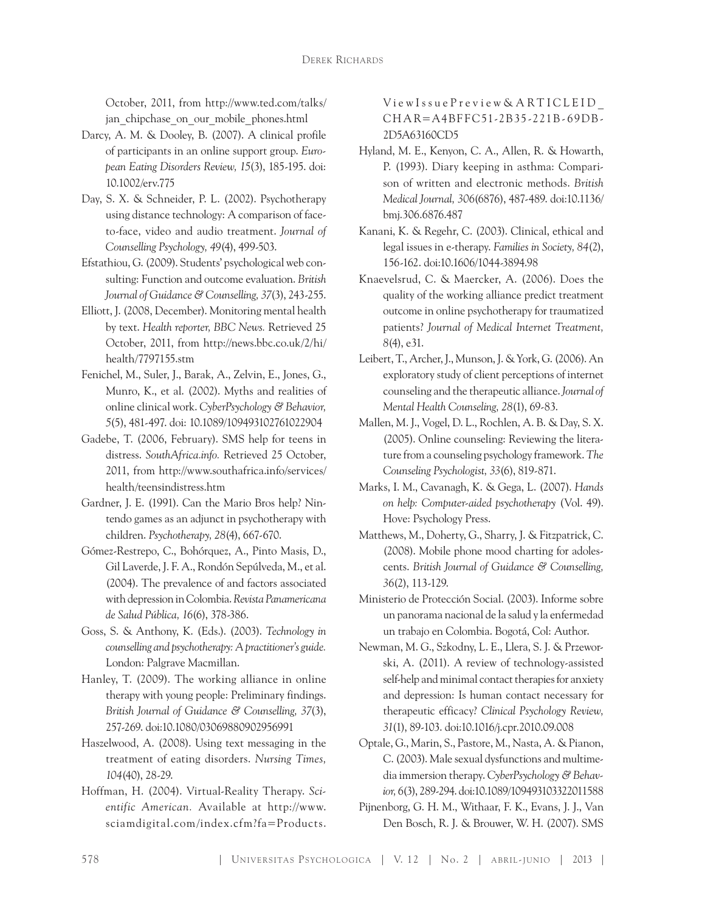October, 2011, from http://www.ted.com/talks/ jan chipchase on our mobile phones.html

- Darcy, A. M. & Dooley, B. (2007). A clinical profile of participants in an online support group. *European Eating Disorders Review, 15*(3), 185-195. doi: 10.1002/erv.775
- Day, S. X. & Schneider, P. L. (2002). Psychotherapy using distance technology: A comparison of faceto-face, video and audio treatment. *Journal of Counselling Psychology, 49*(4), 499-503.
- Efstathiou, G. (2009). Students' psychological web consulting: Function and outcome evaluation. *British Journal of Guidance & Counselling, 37*(3), 243-255.
- Elliott, J. (2008, December). Monitoring mental health by text. *Health reporter, BBC News.* Retrieved 25 October, 2011, from http://news.bbc.co.uk/2/hi/ health/7797155.stm
- Fenichel, M., Suler, J., Barak, A., Zelvin, E., Jones, G., Munro, K., et al. (2002). Myths and realities of online clinical work. *CyberPsychology & Behavior, 5*(5), 481-497. doi: 10.1089/109493102761022904
- Gadebe, T. (2006, February). SMS help for teens in distress. *SouthAfrica.info.* Retrieved 25 October, 2011, from http://www.southafrica.info/services/ health/teensindistress.htm
- Gardner, J. E. (1991). Can the Mario Bros help? Nintendo games as an adjunct in psychotherapy with children. *Psychotherapy, 28*(4), 667-670.
- Gómez-Restrepo, C., Bohórquez, A., Pinto Masis, D., Gil Laverde, J. F. A., Rondón Sepúlveda, M., et al. (2004). The prevalence of and factors associated with depression in Colombia. *Revista Panamericana de Salud Pública, 16*(6), 378-386.
- Goss, S. & Anthony, K. (Eds.). (2003). *Technology in counselling and psychotherapy: A practitioner's guide.* London: Palgrave Macmillan.
- Hanley, T. (2009). The working alliance in online therapy with young people: Preliminary findings. *British Journal of Guidance & Counselling, 37*(3), 257-269. doi:10.1080/03069880902956991
- Haszelwood, A. (2008). Using text messaging in the treatment of eating disorders. *Nursing Times, 104*(40), 28-29.
- Hoffman, H. (2004). Virtual-Reality Therapy. *Scientific American.* Available at http://www. sciamdigital.com/index.cfm?fa=Products.

ViewIssuePreview&ARTICLEID\_ CHAR=A4BFFC51-2B35-221B-69DB - 2D5A63160CD5

- Hyland, M. E., Kenyon, C. A., Allen, R. & Howarth, P. (1993). Diary keeping in asthma: Comparison of written and electronic methods. *British Medical Journal, 306*(6876), 487-489. doi:10.1136/ bmj.306.6876.487
- Kanani, K. & Regehr, C. (2003). Clinical, ethical and legal issues in e-therapy. *Families in Society, 84*(2), 156-162. doi:10.1606/1044-3894.98
- Knaevelsrud, C. & Maercker, A. (2006). Does the quality of the working alliance predict treatment outcome in online psychotherapy for traumatized patients? *Journal of Medical Internet Treatment, 8*(4), e31.
- Leibert, T., Archer, J., Munson, J. & York, G. (2006). An exploratory study of client perceptions of internet counseling and the therapeutic alliance. *Journal of Mental Health Counseling, 28*(1), 69-83.
- Mallen, M. J., Vogel, D. L., Rochlen, A. B. & Day, S. X. (2005). Online counseling: Reviewing the literature from a counseling psychology framework. *The Counseling Psychologist, 33*(6), 819-871.
- Marks, I. M., Cavanagh, K. & Gega, L. (2007). *Hands on help: Computer-aided psychotherapy* (Vol. 49). Hove: Psychology Press.
- Matthews, M., Doherty, G., Sharry, J. & Fitzpatrick, C. (2008). Mobile phone mood charting for adolescents. *British Journal of Guidance & Counselling, 36*(2), 113-129.
- Ministerio de Protección Social. (2003). Informe sobre un panorama nacional de la salud y la enfermedad un trabajo en Colombia. Bogotá, Col: Author.
- Newman, M. G., Szkodny, L. E., Llera, S. J. & Przeworski, A. (2011). A review of technology-assisted self-help and minimal contact therapies for anxiety and depression: Is human contact necessary for therapeutic efficacy? *Clinical Psychology Review, 31*(1), 89-103. doi:10.1016/j.cpr.2010.09.008
- Optale, G., Marin, S., Pastore, M., Nasta, A. & Pianon, C. (2003). Male sexual dysfunctions and multimedia immersion therapy. *CyberPsychology & Behavior, 6*(3), 289-294. doi:10.1089/109493103322011588
- Pijnenborg, G. H. M., Withaar, F. K., Evans, J. J., Van Den Bosch, R. J. & Brouwer, W. H. (2007). SMS